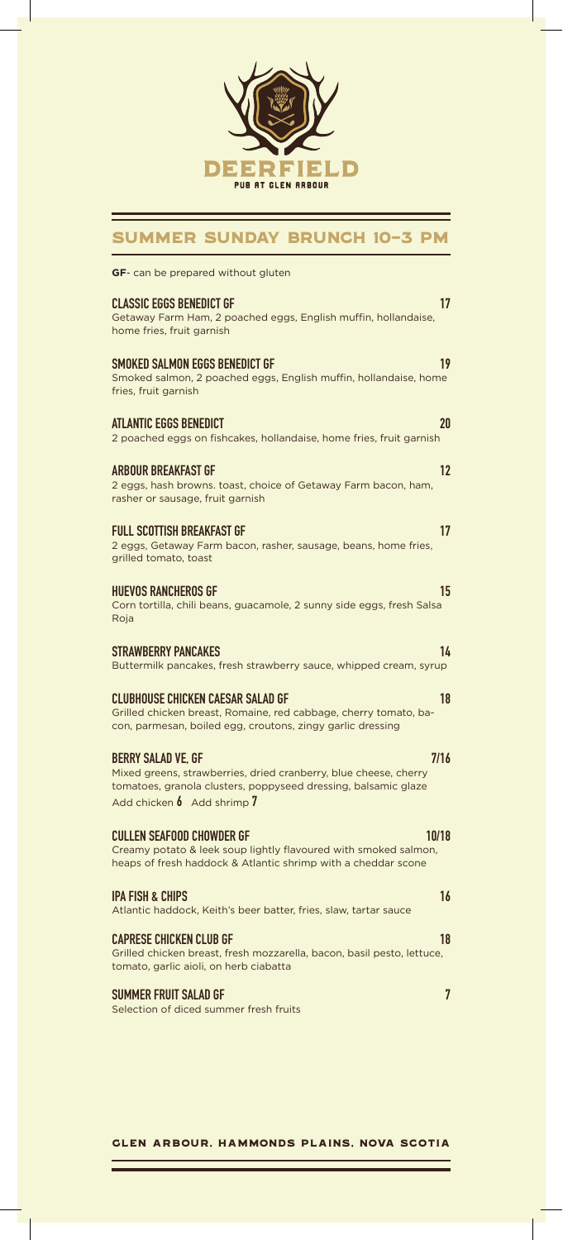

## Summer Sunday Brunch 10-3 pm

| <b>GF</b> - can be prepared without gluten                                                                                                                                                                   |
|--------------------------------------------------------------------------------------------------------------------------------------------------------------------------------------------------------------|
| CLASSIC EGGS BENEDICT GF<br>17<br>Getaway Farm Ham, 2 poached eggs, English muffin, hollandaise,<br>home fries, fruit garnish                                                                                |
| 19<br>SMOKED SALMON EGGS BENEDICT GF<br>Smoked salmon, 2 poached eggs, English muffin, hollandaise, home<br>fries, fruit garnish                                                                             |
| ATLANTIC EGGS BENEDICT<br>20<br>2 poached eggs on fishcakes, hollandaise, home fries, fruit garnish                                                                                                          |
| ARBOUR BREAKFAST GF<br>12<br>2 eggs, hash browns. toast, choice of Getaway Farm bacon, ham,<br>rasher or sausage, fruit garnish                                                                              |
| FULL SCOTTISH BREAKFAST GF<br>17<br>2 eggs, Getaway Farm bacon, rasher, sausage, beans, home fries,<br>grilled tomato, toast                                                                                 |
| <b>HUEVOS RANCHEROS GF</b><br>15<br>Corn tortilla, chili beans, guacamole, 2 sunny side eggs, fresh Salsa<br>Roja                                                                                            |
| STRAWBERRY PANCAKES<br>14<br>Buttermilk pancakes, fresh strawberry sauce, whipped cream, syrup                                                                                                               |
| CLUBHOUSE CHICKEN CAESAR SALAD GF<br>18<br>Grilled chicken breast, Romaine, red cabbage, cherry tomato, ba-<br>con, parmesan, boiled egg, croutons, zingy garlic dressing                                    |
| BERRY SALAD VE, GF<br>7/16<br>Mixed greens, strawberries, dried cranberry, blue cheese, cherry<br>tomatoes, granola clusters, poppyseed dressing, balsamic glaze<br>Add chicken $\mathfrak b$ Add shrimp $7$ |
| CULLEN SEAFOOD CHOWDER GF<br>10/18<br>Creamy potato & leek soup lightly flavoured with smoked salmon,<br>heaps of fresh haddock & Atlantic shrimp with a cheddar scone                                       |
| IPA FISH & CHIPS<br>16<br>Atlantic haddock, Keith's beer batter, fries, slaw, tartar sauce                                                                                                                   |
| CAPRESE CHICKEN CLUB GF<br>18<br>Grilled chicken breast, fresh mozzarella, bacon, basil pesto, lettuce,<br>tomato, garlic aioli, on herb ciabatta                                                            |
| 7<br>SUMMER FRUIT SALAD GF<br>Selection of diced summer fresh fruits                                                                                                                                         |

Glen Arbour, Hammonds Plains, Nova Scotia